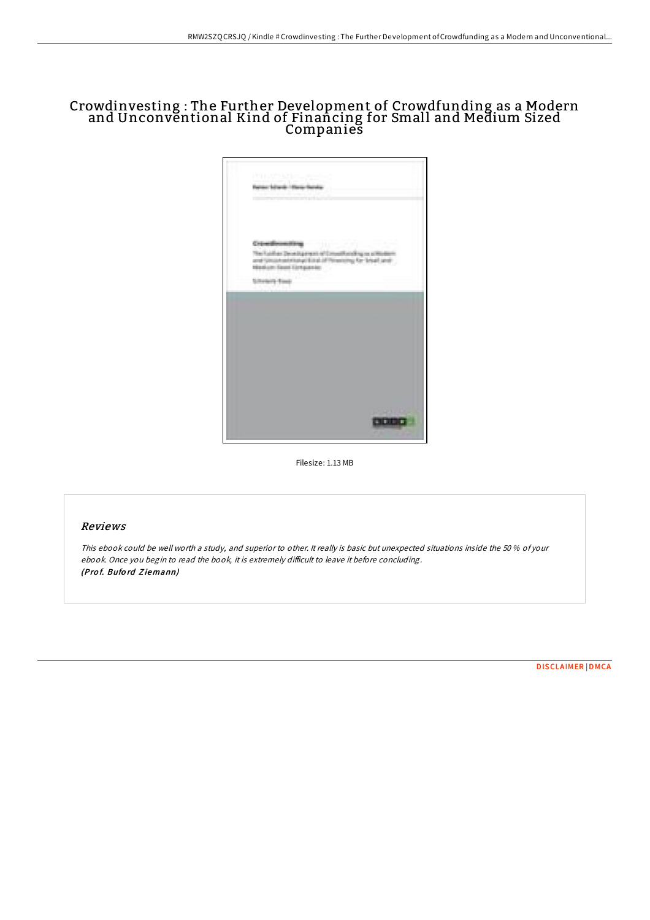# Crowdinvesting : The Further Development of Crowdfunding as a Modern and Unconvĕntional Kind of Finañcing for Small and Medium Sized Companies



Filesize: 1.13 MB

### Reviews

This ebook could be well worth <sup>a</sup> study, and superior to other. It really is basic but unexpected situations inside the 50 % of your ebook. Once you begin to read the book, it is extremely difficult to leave it before concluding. (Pro f. Bufo rd Z iemann)

[DISCLAIMER](http://almighty24.tech/disclaimer.html) | [DMCA](http://almighty24.tech/dmca.html)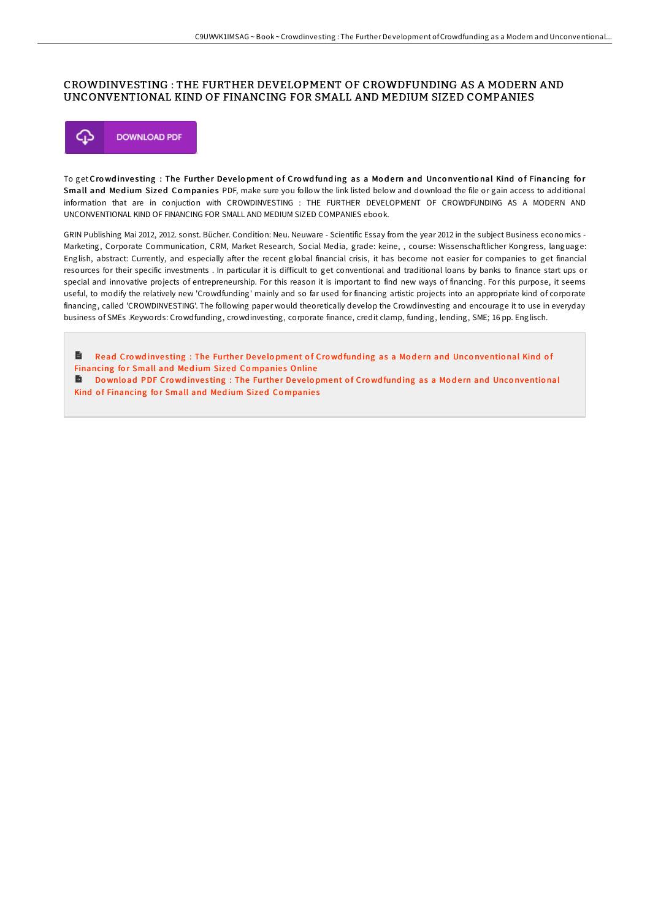### CROWDINVESTING : THE FURTHER DEVELOPMENT OF CROWDFUNDING AS A MODERN AND UNCONVENTIONAL KIND OF FINANCING FOR SMALL AND MEDIUM SIZED COMPANIES



To get Crowd investing : The Further Development of Crowd funding as a Modern and Unconventional Kind of Financing for Small and Medium Sized Companies PDF, make sure you follow the link listed below and download the file or gain access to additional information that are in conjuction with CROWDINVESTING : THE FURTHER DEVELOPMENT OF CROWDFUNDING AS A MODERN AND UNCONVENTIONAL KIND OF FINANCING FOR SMALL AND MEDIUM SIZED COMPANIES ebook.

GRIN Publishing Mai 2012, 2012. sonst. Bücher. Condition: Neu. Neuware - Scientific Essay from the year 2012 in the subject Business economics - Marketing, Corporate Communication, CRM, Market Research, Social Media, grade: keine, , course: Wissenschaftlicher Kongress, language: English, abstract: Currently, and especially after the recent global financial crisis, it has become not easier for companies to get financial resources for their specific investments . In particular it is diFicult to get conventional and traditional loans by banks to finance start ups or special and innovative projects of entrepreneurship. For this reason it is important to find new ways of financing. For this purpose, it seems useful, to modify the relatively new 'Crowdfunding' mainly and so far used for financing artistic projects into an appropriate kind of corporate financing, called 'CROWDINVESTING'. The following paper would theoretically develop the Crowdinvesting and encourage it to use in everyday business of SMEs .Keywords: Crowdfunding, crowdinvesting, corporate finance, credit clamp, funding, lending, SME; 16 pp. Englisch.

 $\blacksquare$ Read Crowdinvesting: The Further Development of Crowdfunding as a Modern and Unconventional Kind of [Financing](http://almighty24.tech/crowdinvesting-the-further-development-of-crowdf.html) for Small and Medium Sized Companies Online Download PDF Crowdinvesting: The Further Development of Crowdfunding as a Modern and Unconventional Kind of [Financing](http://almighty24.tech/crowdinvesting-the-further-development-of-crowdf.html) for Small and Medium Sized Companies